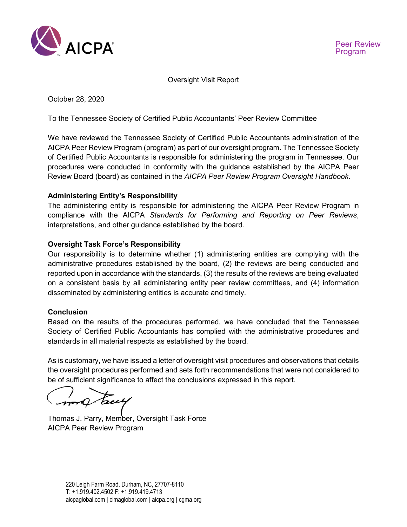

Oversight Visit Report

October 28, 2020

To the Tennessee Society of Certified Public Accountants' Peer Review Committee

We have reviewed the Tennessee Society of Certified Public Accountants administration of the AICPA Peer Review Program (program) as part of our oversight program. The Tennessee Society of Certified Public Accountants is responsible for administering the program in Tennessee. Our procedures were conducted in conformity with the guidance established by the AICPA Peer Review Board (board) as contained in the *AICPA Peer Review Program Oversight Handbook.* 

# **Administering Entity's Responsibility**

The administering entity is responsible for administering the AICPA Peer Review Program in compliance with the AICPA *Standards for Performing and Reporting on Peer Reviews*, interpretations, and other guidance established by the board.

#### **Oversight Task Force's Responsibility**

Our responsibility is to determine whether (1) administering entities are complying with the administrative procedures established by the board, (2) the reviews are being conducted and reported upon in accordance with the standards, (3) the results of the reviews are being evaluated on a consistent basis by all administering entity peer review committees, and (4) information disseminated by administering entities is accurate and timely.

#### **Conclusion**

Based on the results of the procedures performed, we have concluded that the Tennessee Society of Certified Public Accountants has complied with the administrative procedures and standards in all material respects as established by the board.

As is customary, we have issued a letter of oversight visit procedures and observations that details the oversight procedures performed and sets forth recommendations that were not considered to be of sufficient significance to affect the conclusions expressed in this report.

Freel

Thomas J. Parry, Member, Oversight Task Force AICPA Peer Review Program

220 Leigh Farm Road, Durham, NC, 27707-8110 T: +1.919.402.4502 F: +1.919.419.4713 aicpaglobal.com | cimaglobal.com | aicpa.org | cgma.org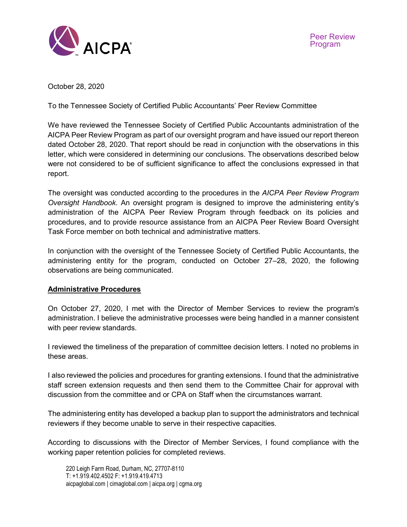

October 28, 2020

To the Tennessee Society of Certified Public Accountants' Peer Review Committee

We have reviewed the Tennessee Society of Certified Public Accountants administration of the AICPA Peer Review Program as part of our oversight program and have issued our report thereon dated October 28, 2020. That report should be read in conjunction with the observations in this letter, which were considered in determining our conclusions. The observations described below were not considered to be of sufficient significance to affect the conclusions expressed in that report.

The oversight was conducted according to the procedures in the *AICPA Peer Review Program Oversight Handbook*. An oversight program is designed to improve the administering entity's administration of the AICPA Peer Review Program through feedback on its policies and procedures, and to provide resource assistance from an AICPA Peer Review Board Oversight Task Force member on both technical and administrative matters.

In conjunction with the oversight of the Tennessee Society of Certified Public Accountants, the administering entity for the program, conducted on October 27–28, 2020, the following observations are being communicated.

# **Administrative Procedures**

On October 27, 2020, I met with the Director of Member Services to review the program's administration. I believe the administrative processes were being handled in a manner consistent with peer review standards.

I reviewed the timeliness of the preparation of committee decision letters. I noted no problems in these areas.

I also reviewed the policies and procedures for granting extensions. I found that the administrative staff screen extension requests and then send them to the Committee Chair for approval with discussion from the committee and or CPA on Staff when the circumstances warrant.

The administering entity has developed a backup plan to support the administrators and technical reviewers if they become unable to serve in their respective capacities.

According to discussions with the Director of Member Services, I found compliance with the working paper retention policies for completed reviews.

220 Leigh Farm Road, Durham, NC, 27707-8110 T: +1.919.402.4502 F: +1.919.419.4713 aicpaglobal.com | cimaglobal.com | aicpa.org | cgma.org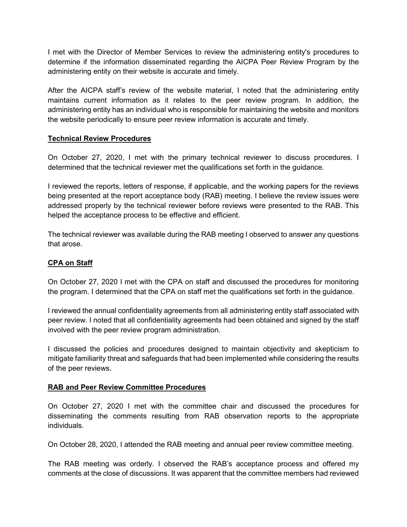I met with the Director of Member Services to review the administering entity's procedures to determine if the information disseminated regarding the AICPA Peer Review Program by the administering entity on their website is accurate and timely.

After the AICPA staff's review of the website material, I noted that the administering entity maintains current information as it relates to the peer review program. In addition, the administering entity has an individual who is responsible for maintaining the website and monitors the website periodically to ensure peer review information is accurate and timely.

# **Technical Review Procedures**

On October 27, 2020, I met with the primary technical reviewer to discuss procedures. I determined that the technical reviewer met the qualifications set forth in the guidance.

I reviewed the reports, letters of response, if applicable, and the working papers for the reviews being presented at the report acceptance body (RAB) meeting. I believe the review issues were addressed properly by the technical reviewer before reviews were presented to the RAB. This helped the acceptance process to be effective and efficient.

The technical reviewer was available during the RAB meeting I observed to answer any questions that arose.

# **CPA on Staff**

On October 27, 2020 I met with the CPA on staff and discussed the procedures for monitoring the program. I determined that the CPA on staff met the qualifications set forth in the guidance.

I reviewed the annual confidentiality agreements from all administering entity staff associated with peer review. I noted that all confidentiality agreements had been obtained and signed by the staff involved with the peer review program administration.

I discussed the policies and procedures designed to maintain objectivity and skepticism to mitigate familiarity threat and safeguards that had been implemented while considering the results of the peer reviews.

# **RAB and Peer Review Committee Procedures**

On October 27, 2020 I met with the committee chair and discussed the procedures for disseminating the comments resulting from RAB observation reports to the appropriate individuals.

On October 28, 2020, I attended the RAB meeting and annual peer review committee meeting.

The RAB meeting was orderly. I observed the RAB's acceptance process and offered my comments at the close of discussions. It was apparent that the committee members had reviewed